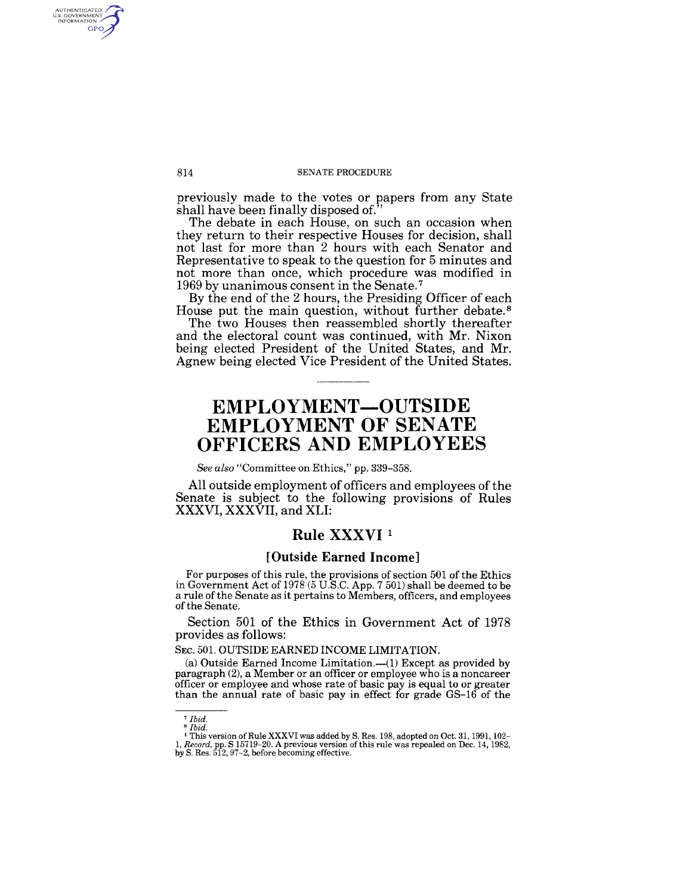#### 814 SENATE PROCEDURE

previously made to the votes or papers from any State shall have been finally disposed of."

The debate in each House, on such an occasion when they return to their respective Houses for decision, shall not last for more than 2 hours with each Senator and Representative to speak to the question for 5 minutes and not more than once, which procedure was modified in 1969 by unanimous consent in the Senate. 7

By the end of the 2 hours, the Presiding Officer of each House put the main question, without further debate. 8

The two Houses then reassembled shortly thereafter and the electoral count was continued, with Mr. Nixon being elected President of the United States, and Mr. Agnew being elected Vice President of the United States.

# **EMPLOYMENT-OUTSIDE**  EMPLOYMENT OF SENATE **OFFICERS AND EMPLOYEES**

*See also* "Committee on Ethics," pp. 339-358.

All outside employment of officers and employees of the Senate is subject to the following provisions of Rules XXXVI, XXXVII, and XLI:

### Rule XXXVI<sup>1</sup>

#### **[Outside Earned Income]**

For purposes of this rule, the provisions of section 501 of the Ethics in Government Act of 1978 (5 U.S.C. App. 7 501) shall be deemed to be a rule of the Senate as it pertains to Members, officers, and employees of the Senate.

Section 501 of the Ethics in Government Act of 1978 provides as follows:

#### SEC. 501. OUTSIDE EARNED INCOME LIMITATION.

(a) Outside Earned Income Limitation. $-(1)$  Except as provided by paragraph (2), a Member or an officer or employee who is a noncareer officer or employee and whose rate of basic pay is equal to or greater than the annual rate of basic pay in effect for grade GS-16 of the

AUTHENTICATED<br>U.S. GOVERNMENT<br>INFORMATION **GPO** 

<sup>7</sup>*Ibid.*  <sup>8</sup>*Ibid.* 

<sup>1</sup>This version of Rule XXXVI was added by S. Res. 198, adopted on Oct. 31, 1991, 102- *1, Record,* pp. S 15719-20. A previous version of this rule was repealed on Dec. 14, 1982, by S. Res. 512, 97-2, before becoming effective.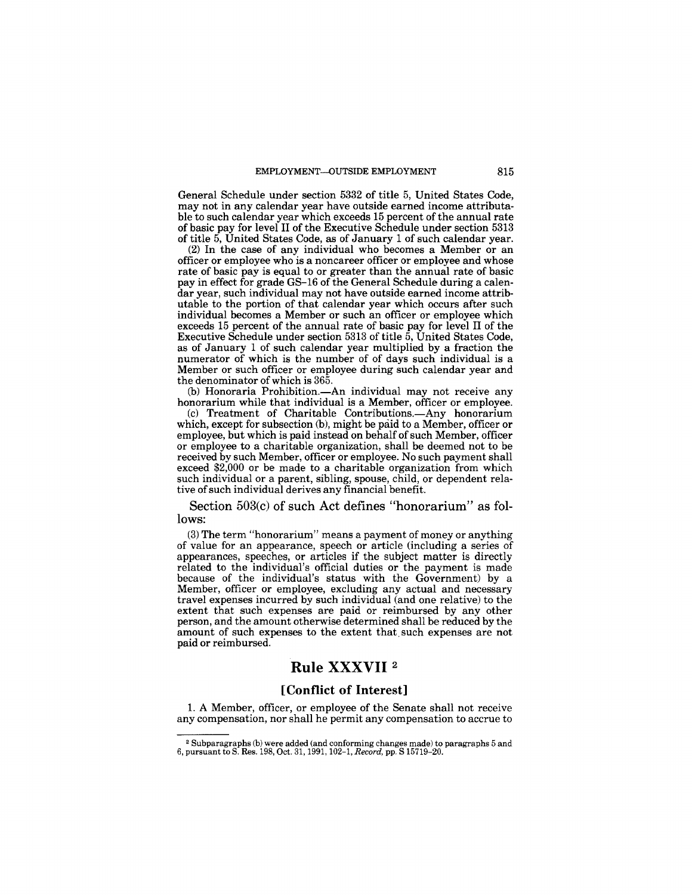General Schedule under section 5332 of title 5, United States Code, may not in any calendar year have outside earned income attributable to such calendar year which exceeds 15 percent of the annual rate of basic pay for level II of the Executive Schedule under section 5313 of title 5, United States Code, as of January 1 of such calendar year.

(2) In the case of any individual who becomes a Member or an officer or employee who is a noncareer officer or employee and whose rate of basic pay is equal to or greater than the annual rate of basic pay in effect for grade GS-16 of the General Schedule during a calendar year, such individual may not have outside earned income attributable to the portion of that calendar year which occurs after such individual becomes a Member or such an officer or employee which exceeds 15 percent of the annual rate of basic pay for level II of the Executive Schedule under section 5313 of title 5, United States Code, as of January 1 of such calendar year multiplied by a fraction the numerator of which is the number of of days such individual is a Member or such officer or employee during such calendar year and the denominator of which is 365.

(b) Honoraria Prohibition.--An individual may not receive any honorarium while that individual is a Member, officer or employee.

(c) Treatment of Charitable Contributions.-Any honorarium which, except for subsection (b), might be paid to a Member, officer or employee, but which is paid instead on behalf of such Member, officer or employee to a charitable organization, shall be deemed not to be received by such Member, officer or employee. No such payment shall exceed \$2,000 or be made to a charitable organization from which such individual or a parent, sibling, spouse, child, or dependent relative of such individual derives any financial benefit.

Section 503(c) of such Act defines "honorarium" as follows:

(3) The term "honorarium" means a payment of money or anything of value for an appearance, speech or article (including a series of appearances, speeches, or articles if the subject matter is directly related to the individual's official duties or the payment is made because of the individual's status with the Government) by a Member, officer or employee, excluding any actual and necessary travel expenses incurred by such individual (and one relative) to the extent that such expenses are paid or reimbursed by any other person, and the amount otherwise determined shall be reduced by the amount of such expenses to the extent that. such expenses are not paid or reimbursed.

# **Rule XXXVII <sup>2</sup>**

### **[Conflict of Interest]**

1. A Member, officer, or employee of the Senate shall not receive any compensation, nor shall he permit any compensation to accrue to

<sup>2</sup>Subparagraphs (b) were added (and conforming changes made) to paragraphs 5 and 6, pursuant to S. Res. 198, Oct. 31, 1991, 102-1, *Record,* pp. S 15719-20.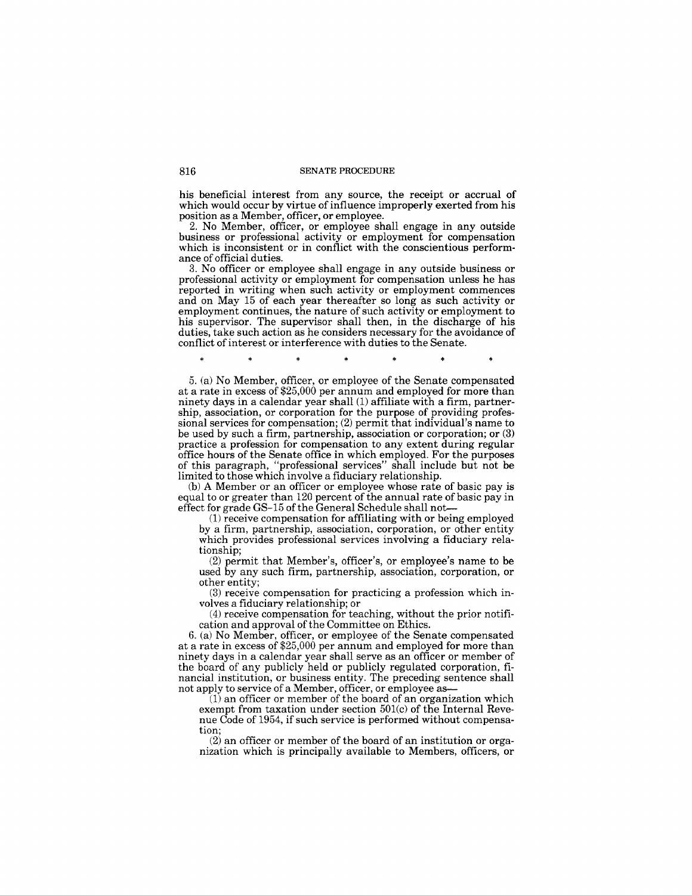his beneficial interest from any source, the receipt or accrual of which would occur by virtue of influence improperly exerted from his position as a Member, officer, or employee.

2. No Member, officer, or employee shall engage in any outside business or professional activity or employment for compensation which is inconsistent or in conflict with the conscientious performance of official duties.

3. No officer or employee shall engage in any outside business or professional activity or employment for compensation unless he has reported in writing when such activity or employment commences and on May 15 of each year thereafter so long as such activity or employment continues, the nature of such activity or employment to his supervisor. The supervisor shall then, in the discharge of his duties, take such action as he considers necessary for the avoidance of conflict of interest or interference with duties to the Senate.

5. (a) No Member, officer, or employee of the Senate compensated at a rate in excess of \$25,000 per annum and employed for more than ninety days in a calendar year shall (1) affiliate with a firm, partnership, association, or corporation for the purpose of providing professional services for compensation; (2) permit that individual's name to be used by such a firm, partnership, association or corporation; or (3) practice a profession for compensation to any extent during regular office hours of the Senate office in which employed. For the purposes of this paragraph, "professional services" shall include but not be limited to those which involve a fiduciary relationship.

(b) A Member or an officer or employee whose rate of basic pay is equal to or greater than 120 percent of the annual rate of basic pay in effect for grade GS-15 of the General Schedule shall not-

(1) receive compensation for affiliating with or being employed by a firm, partnership, association, corporation, or other entity which provides professional services involving a fiduciary relationship;

(2) permit that Member's, officer's, or employee's name to be used by any such firm, partnership, association, corporation, or other entity;

(3) receive compensation for practicing a profession which involves a fiduciary relationship; or

(4) receive compensation for teaching, without the prior notification and approval of the Committee on Ethics.

6. (a) No Member, officer, or employee of the Senate compensated at a rate in excess of \$25,000 per annum and employed for more than ninety days in a calendar year shall serve as an officer or member of the board of any publicly held or publicly regulated corporation, financial institution, or business entity. The preceding sentence shall not apply to service of a Member, officer, or employee as-

 $(1)$  an officer or member of the board of an organization which exempt from taxation under section  $501(c)$  of the Internal Revenue Code of 1954, if such service is performed without compensation;

(2) an officer or member of the board of an institution or organization which is principally available to Members, officers, or